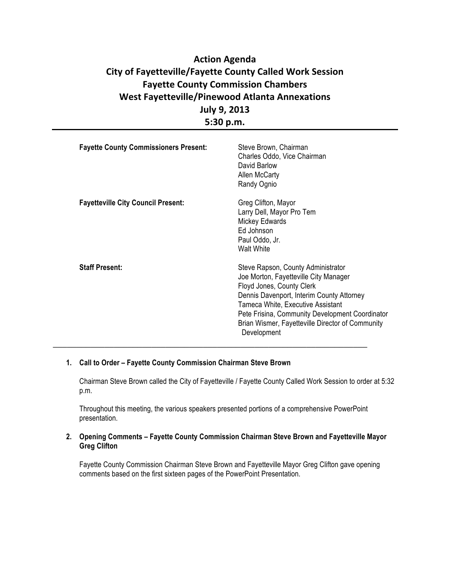# **Action Agenda City of Fayetteville/Fayette County Called Work Session Fayette County Commission Chambers West Fayetteville/Pinewood Atlanta Annexations July 9, 2013 5:30 p.m.**

| <b>Fayette County Commissioners Present:</b> | Steve Brown, Chairman<br>Charles Oddo, Vice Chairman<br>David Barlow<br>Allen McCarty<br>Randy Ognio                                                                                                                                                                                                             |
|----------------------------------------------|------------------------------------------------------------------------------------------------------------------------------------------------------------------------------------------------------------------------------------------------------------------------------------------------------------------|
| <b>Fayetteville City Council Present:</b>    | Greg Clifton, Mayor<br>Larry Dell, Mayor Pro Tem<br>Mickey Edwards<br>Ed Johnson<br>Paul Oddo, Jr.<br>Walt White                                                                                                                                                                                                 |
| <b>Staff Present:</b>                        | Steve Rapson, County Administrator<br>Joe Morton, Fayetteville City Manager<br>Floyd Jones, County Clerk<br>Dennis Davenport, Interim County Attorney<br>Tameca White, Executive Assistant<br>Pete Frisina, Community Development Coordinator<br>Brian Wismer, Fayetteville Director of Community<br>Development |

### **1. Call to Order – Fayette County Commission Chairman Steve Brown**

Chairman Steve Brown called the City of Fayetteville / Fayette County Called Work Session to order at 5:32 p.m.

Throughout this meeting, the various speakers presented portions of a comprehensive PowerPoint presentation.

### **2. Opening Comments – Fayette County Commission Chairman Steve Brown and Fayetteville Mayor Greg Clifton**

Fayette County Commission Chairman Steve Brown and Fayetteville Mayor Greg Clifton gave opening comments based on the first sixteen pages of the PowerPoint Presentation.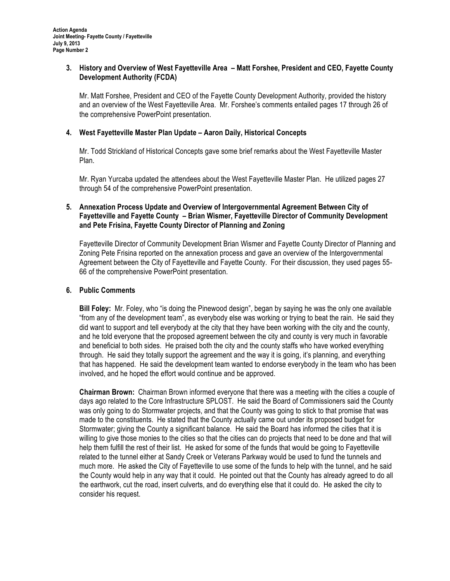#### **3. History and Overview of West Fayetteville Area – Matt Forshee, President and CEO, Fayette County Development Authority (FCDA)**

Mr. Matt Forshee, President and CEO of the Fayette County Development Authority, provided the history and an overview of the West Fayetteville Area. Mr. Forshee's comments entailed pages 17 through 26 of the comprehensive PowerPoint presentation.

### **4. West Fayetteville Master Plan Update – Aaron Daily, Historical Concepts**

Mr. Todd Strickland of Historical Concepts gave some brief remarks about the West Fayetteville Master Plan.

Mr. Ryan Yurcaba updated the attendees about the West Fayetteville Master Plan. He utilized pages 27 through 54 of the comprehensive PowerPoint presentation.

## **5. Annexation Process Update and Overview of Intergovernmental Agreement Between City of Fayetteville and Fayette County – Brian Wismer, Fayetteville Director of Community Development and Pete Frisina, Fayette County Director of Planning and Zoning**

Fayetteville Director of Community Development Brian Wismer and Fayette County Director of Planning and Zoning Pete Frisina reported on the annexation process and gave an overview of the Intergovernmental Agreement between the City of Fayetteville and Fayette County. For their discussion, they used pages 55- 66 of the comprehensive PowerPoint presentation.

### **6. Public Comments**

**Bill Foley:** Mr. Foley, who "is doing the Pinewood design", began by saying he was the only one available "from any of the development team", as everybody else was working or trying to beat the rain. He said they did want to support and tell everybody at the city that they have been working with the city and the county, and he told everyone that the proposed agreement between the city and county is very much in favorable and beneficial to both sides. He praised both the city and the county staffs who have worked everything through. He said they totally support the agreement and the way it is going, it's planning, and everything that has happened. He said the development team wanted to endorse everybody in the team who has been involved, and he hoped the effort would continue and be approved.

**Chairman Brown:** Chairman Brown informed everyone that there was a meeting with the cities a couple of days ago related to the Core Infrastructure SPLOST. He said the Board of Commissioners said the County was only going to do Stormwater projects, and that the County was going to stick to that promise that was made to the constituents. He stated that the County actually came out under its proposed budget for Stormwater; giving the County a significant balance. He said the Board has informed the cities that it is willing to give those monies to the cities so that the cities can do projects that need to be done and that will help them fulfill the rest of their list. He asked for some of the funds that would be going to Fayetteville related to the tunnel either at Sandy Creek or Veterans Parkway would be used to fund the tunnels and much more. He asked the City of Fayetteville to use some of the funds to help with the tunnel, and he said the County would help in any way that it could. He pointed out that the County has already agreed to do all the earthwork, cut the road, insert culverts, and do everything else that it could do. He asked the city to consider his request.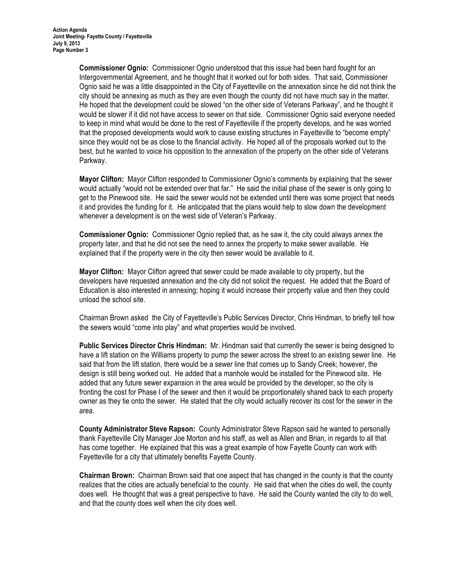**Commissioner Ognio:** Commissioner Ognio understood that this issue had been hard fought for an Intergovernmental Agreement, and he thought that it worked out for both sides. That said, Commissioner Ognio said he was a little disappointed in the City of Fayetteville on the annexation since he did not think the city should be annexing as much as they are even though the county did not have much say in the matter. He hoped that the development could be slowed "on the other side of Veterans Parkway", and he thought it would be slower if it did not have access to sewer on that side. Commissioner Ognio said everyone needed to keep in mind what would be done to the rest of Fayetteville if the property develops, and he was worried that the proposed developments would work to cause existing structures in Fayetteville to "become empty" since they would not be as close to the financial activity. He hoped all of the proposals worked out to the best, but he wanted to voice his opposition to the annexation of the property on the other side of Veterans Parkway.

**Mayor Clifton:** Mayor Clifton responded to Commissioner Ognio's comments by explaining that the sewer would actually "would not be extended over that far." He said the initial phase of the sewer is only going to get to the Pinewood site. He said the sewer would not be extended until there was some project that needs it and provides the funding for it. He anticipated that the plans would help to slow down the development whenever a development is on the west side of Veteran's Parkway.

**Commissioner Ognio:** Commissioner Ognio replied that, as he saw it, the city could always annex the property later, and that he did not see the need to annex the property to make sewer available. He explained that if the property were in the city then sewer would be available to it.

**Mayor Clifton:** Mayor Clifton agreed that sewer could be made available to city property, but the developers have requested annexation and the city did not solicit the request. He added that the Board of Education is also interested in annexing; hoping it would increase their property value and then they could unload the school site.

Chairman Brown asked the City of Fayetteville's Public Services Director, Chris Hindman, to briefly tell how the sewers would "come into play" and what properties would be involved.

**Public Services Director Chris Hindman:** Mr. Hindman said that currently the sewer is being designed to have a lift station on the Williams property to pump the sewer across the street to an existing sewer line. He said that from the lift station, there would be a sewer line that comes up to Sandy Creek; however, the design is still being worked out. He added that a manhole would be installed for the Pinewood site. He added that any future sewer expansion in the area would be provided by the developer, so the city is fronting the cost for Phase I of the sewer and then it would be proportionately shared back to each property owner as they tie onto the sewer. He stated that the city would actually recover its cost for the sewer in the area.

**County Administrator Steve Rapson:** County Administrator Steve Rapson said he wanted to personally thank Fayetteville City Manager Joe Morton and his staff, as well as Allen and Brian, in regards to all that has come together. He explained that this was a great example of how Fayette County can work with Fayetteville for a city that ultimately benefits Fayette County.

**Chairman Brown:** Chairman Brown said that one aspect that has changed in the county is that the county realizes that the cities are actually beneficial to the county. He said that when the cities do well, the county does well. He thought that was a great perspective to have. He said the County wanted the city to do well, and that the county does well when the city does well.